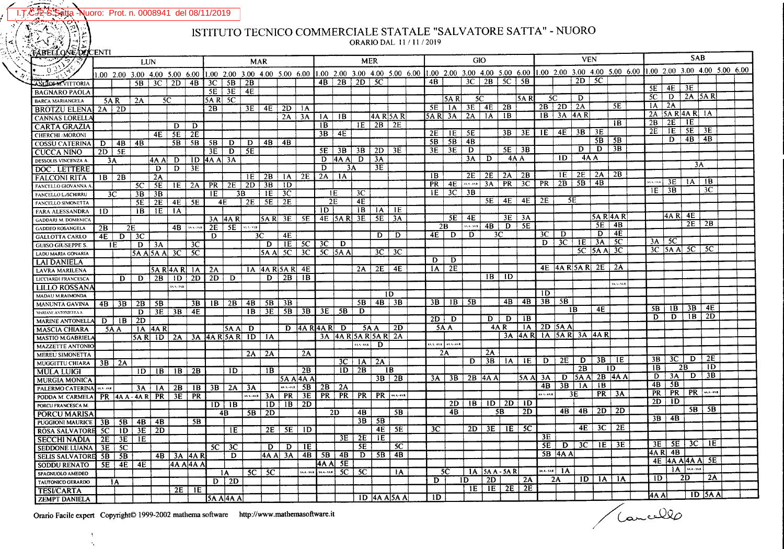Vuoro: Prot. n. 0008941 del 08/11/2019 ta

## ISTITUTO TECNICO COMMERCIALE STATALE "SALVATORE SATTA" - NUORO

ORARIO DAL 11/11/2019

| <b>TABELLUNG/PULENTI</b>     |           |                |                           |                |                          |                  |                                               |                    |              |                                        |                     |                   |                |                |                   |                               |               |         |                       | <b>VEN</b>      |                                                                                                                                                                                                                                    |                    |                 |                  |                     | <b>SAB</b> |                           |                 |  |                 |                |                               |                      |  |  |
|------------------------------|-----------|----------------|---------------------------|----------------|--------------------------|------------------|-----------------------------------------------|--------------------|--------------|----------------------------------------|---------------------|-------------------|----------------|----------------|-------------------|-------------------------------|---------------|---------|-----------------------|-----------------|------------------------------------------------------------------------------------------------------------------------------------------------------------------------------------------------------------------------------------|--------------------|-----------------|------------------|---------------------|------------|---------------------------|-----------------|--|-----------------|----------------|-------------------------------|----------------------|--|--|
|                              | LUN       |                |                           |                |                          |                  | <b>MAR</b>                                    |                    |              |                                        |                     | <b>MER</b>        |                |                |                   | <b>GIO</b>                    |               |         |                       |                 | <u>1.00 2.00 3.00 4.00 5.00 6.00 1.00 2.00 3.00 4.00 5.00 6.00 1.00 2.00 3.00 4.00 5.00 6.00</u> 1.00 2.00 3.00 4.00 5.00 6.00 1.00 5.00 6.00 1.00 2.00 3.00 4.00 5.00 6.00 1.00 2.00 3.00 4.00 5.00 6.00 1.00 2.00 3.00 4.00 5.00 |                    |                 |                  |                     |            |                           |                 |  |                 |                |                               |                      |  |  |
| 0.                           |           |                |                           |                |                          |                  |                                               |                    |              |                                        |                     |                   |                |                |                   |                               |               |         |                       |                 |                                                                                                                                                                                                                                    |                    |                 |                  |                     |            |                           |                 |  |                 |                |                               |                      |  |  |
| <b>LANGIOLM VITTORIA</b>     |           |                |                           |                |                          |                  | $5B$ 3C $2D$ 4B 3C 5B 2B                      |                    |              |                                        |                     |                   |                | $4B$   2B      | $2D \mid 5C$      |                               |               | 4B      |                       | 3C              |                                                                                                                                                                                                                                    | $2B$ 5C            | - SB            |                  |                     | 2D         | - 5C                      |                 |  |                 |                |                               |                      |  |  |
| <b>BAGNARO PAOLA</b>         |           |                |                           |                |                          |                  |                                               | $5E$   $3E$   $4E$ |              |                                        |                     |                   |                |                |                   |                               |               |         |                       |                 |                                                                                                                                                                                                                                    |                    |                 |                  |                     |            |                           |                 |  | 5E              | $4E$ 3E        |                               |                      |  |  |
| <b>BARCA MARIANGELA</b>      | 5A R      |                | 2A                        |                | 5C                       |                  | $5A R$ $5C$                                   |                    |              |                                        |                     |                   |                |                |                   |                               |               |         | 5A R                  | <sup>5</sup> C  |                                                                                                                                                                                                                                    |                    | 5A RI           | -5C              |                     | D          |                           |                 |  | 5C              |                | $D$   2A   5A R               |                      |  |  |
|                              |           |                |                           |                |                          |                  | 2B                                            |                    | 3E           |                                        | $4E$   2D   1A      |                   |                |                |                   |                               |               | 5E      | 1A                    |                 | 3E   4E                                                                                                                                                                                                                            | 2B                 |                 |                  | $2B$   2D   2A      |            |                           | SE              |  | 1A              | $2\Lambda$     |                               |                      |  |  |
| <b>BROTZU ELENAI 2A   2D</b> |           |                |                           |                |                          |                  |                                               |                    |              |                                        | 2A                  | 3A                | 1A             | 1B             |                   | 4A R 5A R                     |               | 5A R 3A |                       |                 | $2A \perp 1A$                                                                                                                                                                                                                      | $\overline{1}$ B   |                 |                  | $IB$   3A   4A R    |            |                           |                 |  | 2A 5A R 4A R 1A |                |                               |                      |  |  |
| <b>CANNAS LORELLA</b>        |           |                |                           |                |                          | D                |                                               |                    |              |                                        |                     |                   | 1B             |                |                   | $ E $ 2B $ 2E $               |               |         |                       |                 |                                                                                                                                                                                                                                    |                    |                 |                  |                     |            |                           | 1B              |  | 2B              | 2E             | 1E                            |                      |  |  |
| <b>CARTA GRAZIA</b>          |           |                |                           |                | D                        |                  |                                               |                    |              |                                        |                     |                   | 3B             | 4E             |                   |                               |               | 2E      | 1E                    | 5E              |                                                                                                                                                                                                                                    | 3B                 | 3E              | 1E               | 4E                  | 3B         | 3E                        |                 |  | 2E              |                | $\overline{1E}$   $5E$   $3E$ |                      |  |  |
| <b>CHERCHI / MORONI</b>      |           |                |                           | 4E             | 5E                       | 2E               |                                               |                    |              |                                        | 4B                  |                   |                |                |                   |                               |               | 5B      | 5B                    | 4B              |                                                                                                                                                                                                                                    |                    |                 |                  |                     |            | $5B$   5B                 |                 |  |                 | D              | $4B \mid 4B$                  |                      |  |  |
| <b>COSSU CATERINA</b>        | D         | 4B             | 4B                        |                | 5B                       | 5B               | $5B$   $D$   $D$                              |                    |              | 4B                                     |                     |                   | 5E             | 3B             | 3B                | $2D \mid 3E$                  |               | 3E      | 3E                    | D               |                                                                                                                                                                                                                                    |                    | 5E   3B         |                  |                     | D.         | D                         | $\overline{3B}$ |  |                 |                |                               |                      |  |  |
| <b>CUCCA NINO</b>            | $2D$   5E |                |                           |                |                          |                  | 3E                                            | $D \mid 5E$        |              |                                        |                     |                   |                |                |                   |                               |               |         |                       | 3A              | D                                                                                                                                                                                                                                  | 4A A               |                 |                  | ID                  | 4A A       |                           |                 |  |                 |                |                               |                      |  |  |
| DESSOLIS VINCENZA A          | 3A        |                |                           | 4A A           | D                        |                  | $1D$ $ 4A A $ $3A$                            |                    |              |                                        |                     |                   | D              | $ 4A A $ D     |                   | 3A                            |               |         |                       |                 |                                                                                                                                                                                                                                    |                    |                 |                  |                     |            |                           |                 |  |                 |                | 3A                            |                      |  |  |
| DOC. LETTERE                 |           |                |                           | $\overline{D}$ | $\mathbf{D}$             | $\overline{3E}$  |                                               |                    |              |                                        |                     |                   | D              | 3A             |                   | 3E                            |               |         |                       |                 |                                                                                                                                                                                                                                    |                    | $\overline{2B}$ |                  | 1E                  |            | $2E$   2A   2B            |                 |  |                 |                |                               |                      |  |  |
| <b>FALCONI RITA</b>          | $IB$   2B |                |                           | 2A             |                          |                  |                                               |                    |              |                                        | $1E$   2B   1A   2E |                   | 2A             | $\mathbf{A}$   |                   |                               |               | 1B      |                       | 2E              | 2E                                                                                                                                                                                                                                 | 2A                 |                 |                  |                     |            | 4B                        |                 |  | 5A 4 - 5A R     | 3E             | A                             | 1B                   |  |  |
| FANCELLO GIOVANNA            |           |                | 5C                        | 5E             |                          | $IE$   2A        |                                               | $PR$ 2E            | $2D \mid 3B$ |                                        | 1D                  |                   |                |                |                   |                               |               | PR      | 4E                    | 45.5 - 45.R     | 3A                                                                                                                                                                                                                                 | PR                 |                 |                  | $3C$   PR   2B   5B |            |                           |                 |  | HE.             | 3B             |                               | $\overline{3}C$      |  |  |
| <b>FANCELLO L./SCHIRRU</b>   |           | 3 <sup>C</sup> | 3B                        | 3B             |                          |                  | IE                                            | 3B                 |              | 1E.                                    | - 3C                |                   |                | 1E             | 3 <sup>C</sup>    |                               |               | E       | 3C                    | $\overline{3B}$ |                                                                                                                                                                                                                                    |                    |                 |                  |                     |            |                           |                 |  |                 |                |                               |                      |  |  |
| <b>FANCELLO SIMONETTA</b>    |           |                | 5E                        | 2E             |                          | 4E   5E          | 4E                                            |                    | 2E           | 5E                                     | 2E                  |                   |                | 2E             | 4E                |                               |               |         |                       |                 | 5E                                                                                                                                                                                                                                 | 4E                 | 4E              | 2E               | 5E                  |            |                           |                 |  |                 |                |                               |                      |  |  |
| <b>FARA ALESSANDRA</b>       | ID.       |                | 1B                        | 1E             | $\mathbf{A}$             |                  |                                               |                    |              |                                        |                     |                   | 1D             |                | 1B                | $IA \mid IE$                  |               |         |                       |                 |                                                                                                                                                                                                                                    |                    |                 |                  |                     |            |                           |                 |  |                 | 4A R 4E        |                               |                      |  |  |
| <b>GADDARI M. DOMENIC</b>    |           |                |                           |                |                          |                  |                                               | 3A 4A R            |              |                                        | 5 A R   3 E   5 E   |                   |                | 4E   5A R   3E |                   | 5E   3A                       |               |         | 5E                    | 4E              |                                                                                                                                                                                                                                    | 3E                 | 3A              |                  |                     |            | <b>5A R 4A R</b>          |                 |  |                 |                |                               | $2E$   $2B$          |  |  |
| GADDEO ROSANGELA             | 2B        |                | 2E                        |                |                          | $4B$   $\cdots$  | $2E$ 5E                                       |                    | 33.57.53.8   |                                        |                     |                   |                |                |                   |                               |               | 2B      |                       | 54.4.54R        | 4B                                                                                                                                                                                                                                 | D                  | $\overline{5E}$ |                  |                     |            | 5E                        | 4B              |  |                 |                |                               |                      |  |  |
| <b>GALLOTTA CARLO</b>        |           | $4E$ D $3C$    |                           |                |                          |                  | D                                             |                    |              | 3C                                     | 4E                  |                   |                |                |                   | D.                            | D             | 4E      | D                     | $\overline{D}$  |                                                                                                                                                                                                                                    | 3 <sup>C</sup>     |                 | 3C               | D                   |            | D                         | 4E              |  |                 |                |                               |                      |  |  |
| <b>GUISO GIUSEPPE S.</b>     |           | 1E             |                           | $D$ 3A         |                          | 3C.              |                                               |                    |              | D                                      | 1E                  | 5C                | 3C             | D              |                   |                               |               |         |                       |                 |                                                                                                                                                                                                                                    |                    |                 | $\mathbf{D}$     |                     | 3C   1E    | 3A                        | 5C              |  | $3A \sqrt{5C}$  |                |                               |                      |  |  |
| LADU MARIA GONARIA           |           |                |                           | 5A Al5A Al 3C  |                          | - 5C             |                                               |                    |              | 5A Al                                  | 5C                  | 3C                |                | $5C$ $5A$      |                   | $3C$ 3C                       |               |         |                       |                 |                                                                                                                                                                                                                                    |                    |                 |                  |                     |            | $5C$ $ 5A A $ $3C$        |                 |  |                 |                | $3C$ $ 5AA$ $5C$ $ 5C$        |                      |  |  |
| <b>LAI DANIELA</b>           |           |                |                           |                |                          |                  |                                               |                    |              |                                        |                     |                   |                |                |                   |                               |               | D.      | D                     |                 |                                                                                                                                                                                                                                    |                    |                 |                  |                     |            |                           |                 |  |                 |                |                               |                      |  |  |
| <b>LAVRA MARILENA</b>        |           |                |                           |                | 5A R 4A R 1A             |                  | 2A                                            |                    |              |                                        | 1A 4A R 5A R 4E     |                   |                |                | 2A                | 2E                            | 4E            | 1A      | 2E                    |                 |                                                                                                                                                                                                                                    |                    |                 |                  | $4E$ 4A R 5A R 2E   |            |                           | $\sqrt{2A}$     |  |                 |                |                               |                      |  |  |
| LICCIARDI FRANCESCA          |           | D              | D                         | 2B             |                          | $1D$ 2D          | -2D i                                         | D                  |              | D.                                     | 2B                  | 1B                |                |                |                   |                               |               |         |                       |                 |                                                                                                                                                                                                                                    | $IB$ ID            |                 |                  |                     |            |                           |                 |  |                 |                |                               |                      |  |  |
| LILLO ROSSANA                |           |                |                           |                | 544.548                  |                  |                                               |                    |              |                                        |                     |                   |                |                |                   |                               |               |         |                       |                 |                                                                                                                                                                                                                                    |                    |                 |                  |                     |            |                           | <b>SAA-5AR</b>  |  |                 |                |                               |                      |  |  |
| MADAU M.RAIMONDA             |           |                |                           |                |                          |                  |                                               |                    |              |                                        |                     |                   |                |                |                   | 1D                            |               |         |                       |                 |                                                                                                                                                                                                                                    |                    |                 | 1D               |                     |            |                           |                 |  |                 |                |                               |                      |  |  |
| <b>MANUNTA GAVINA</b>        |           | $4B \mid 3B$   | $2B \mid 5B$              |                |                          | 3B               |                                               |                    |              | $ {\bf B} $ 2B   4B   5B   3B          |                     |                   |                |                | 5B                |                               | $AB \mid 3B$  |         | $3B \perp 1B$         | 5B              |                                                                                                                                                                                                                                    | 4B                 | 4B              | 3B               | 5B                  |            |                           |                 |  |                 |                |                               |                      |  |  |
| MARIANE ANTONIETTA A         |           |                | D                         |                | $3E$ $3B$ $4E$           |                  |                                               |                    |              |                                        | $IB$ 3E 5B          |                   | $3B$ 3E 5B     |                | D                 |                               |               |         |                       |                 |                                                                                                                                                                                                                                    |                    |                 |                  |                     | 1B         | 4E                        |                 |  | -5B i           |                | $ 1B $ 3B                     | 4E                   |  |  |
| <b>MARINE ANTONELLA</b>      |           | $D \mid IB$    | $\overline{2}D$           |                |                          |                  |                                               |                    |              |                                        |                     |                   |                |                |                   |                               |               | $2D+D$  |                       |                 | D.                                                                                                                                                                                                                                 | D                  | 1B              |                  |                     |            |                           |                 |  | D.              | $\overline{D}$ | 1B                            | 2D                   |  |  |
| <b>MASCIA CHIARA</b>         |           | 5A A           |                           | 1A 4A R        |                          |                  |                                               | $ 5A A $ D         |              |                                        |                     | $D$ 4A R 4A R $D$ |                |                | <b>5A A</b>       |                               | 2D            | 5A A    |                       |                 |                                                                                                                                                                                                                                    | 4A R               | 1A              |                  | $2D$ 5A A           |            |                           |                 |  |                 |                |                               |                      |  |  |
| <b>MASTIO M.GABRIEL/</b>     |           |                |                           |                |                          |                  | $5A$ R $1D$ $2A$ $3A$ $4A$ R $5A$ R $1D$ $1A$ |                    |              |                                        |                     |                   |                |                |                   | $3A$  4A R $5A$ R $5A$ R $2A$ |               |         |                       |                 |                                                                                                                                                                                                                                    |                    | 3A 4A R         |                  | $ A $ 5AR 3A 4AR    |            |                           |                 |  |                 |                |                               |                      |  |  |
| <b>MAZZETTE ANTONIO</b>      |           |                |                           |                |                          |                  |                                               |                    |              |                                        |                     |                   |                |                | $ $ 4A 5-4A 8 $ $ | D                             |               |         | <b>AA-4AR</b> 4AA-4AR |                 |                                                                                                                                                                                                                                    |                    |                 |                  |                     |            |                           |                 |  |                 |                |                               |                      |  |  |
| <b>MEREU SIMONETTA</b>       |           |                |                           |                |                          |                  |                                               |                    |              | $2A \mid 2A$                           |                     | 2A                |                |                |                   |                               |               |         | 2A                    |                 | 2A                                                                                                                                                                                                                                 |                    |                 |                  |                     |            |                           |                 |  |                 |                |                               |                      |  |  |
| MUGGITTU CHIARA   3B   2A    |           |                |                           |                |                          |                  |                                               |                    |              |                                        |                     |                   |                |                | $3C$   $1A$       | $\sqrt{2A}$                   |               |         |                       | D.              | 3B                                                                                                                                                                                                                                 | $\overline{A}$     | $\overline{1E}$ | D                |                     |            | $2E$ D $3B$ IE            |                 |  | 3B              | $3C$           | D                             | 2E                   |  |  |
| <b>MULA LUIGI</b>            |           |                | $\overline{1D}$           | 1B             |                          | $IB$   2B        |                                               | ĪĐ                 |              | 1B                                     |                     | 2B                |                |                | $ID \mid 2B$      | 1B                            |               |         |                       |                 |                                                                                                                                                                                                                                    |                    |                 |                  |                     | 2B         |                           | -ID             |  | 1B              |                | 2B                            | 1D                   |  |  |
| <b>MURGIA MONICA</b>         |           |                |                           |                |                          |                  |                                               |                    |              |                                        |                     | $5A$ A $4A$       |                |                |                   |                               | $3B$   $2B$   | 3A      | 3B                    |                 | 2B 4A A                                                                                                                                                                                                                            |                    | 5A AI           | 3A               |                     |            | $D$ 5A A 2B 4A A          |                 |  | D               | 3A             | D.                            | $\overline{3B}$      |  |  |
| PALERMO CATERINA MARKET      |           |                | 3A I                      |                | $1A \mid 2B$             |                  | <b>IB 3B</b>                                  |                    | $2A$   $3A$  |                                        | 44.4-44R            | 5B                |                | $2B$   $2A$    |                   |                               |               |         |                       |                 |                                                                                                                                                                                                                                    |                    |                 | 4B               | 3B                  | 1A         | $\overline{AB}$           |                 |  | $\overline{AB}$ | 5B             |                               |                      |  |  |
| PODDA M. CARMELA             |           |                |                           |                | $PR$ 4A A - 4A R $PR$ 3E | <b>PR</b>        |                                               |                    |              | $\overline{A}$ $\overline{AB}$ 3A   PR |                     | $\overline{3E}$   |                | $PR$   PR      | PR                | PR                            | 44.4-45R      |         |                       |                 |                                                                                                                                                                                                                                    |                    |                 | <b>44.4-44.8</b> |                     | 3E         |                           | $PR$ 3A         |  | PR              | PR             |                               | <b>PR MARK</b>       |  |  |
| PORCU FRANCESCA M.           |           |                |                           |                |                          |                  |                                               | $1D$ $1B$          |              | $1D_1$                                 | 1B                  | 2D                |                |                |                   |                               |               |         | 2D                    | B               |                                                                                                                                                                                                                                    | $1D$   $2D$        | -ID             |                  |                     |            |                           |                 |  | 2D              | ID.            |                               |                      |  |  |
| <b>PORCU MARISA</b>          |           |                |                           |                |                          |                  |                                               | 4B                 |              | $5B$   2D                              |                     |                   |                | 2D             | 4B                |                               | 5B            |         | 4B                    |                 |                                                                                                                                                                                                                                    | 5B                 | 2D              |                  |                     |            | $4B$   $4B$   $2D$   $2D$ |                 |  |                 |                |                               | $5B$   $5B$          |  |  |
| <b>PUGGIONI MAURICE</b>      |           |                | $\overline{3B}$   5B   4B | 4B             |                          | 5B               |                                               |                    |              |                                        |                     |                   |                |                | 3B                | 5B                            |               |         |                       |                 |                                                                                                                                                                                                                                    |                    |                 |                  |                     |            |                           |                 |  |                 | $3B$   4B      |                               |                      |  |  |
| ROSA SALVATORE 5C            |           |                | $1D \mid 3E$              | 2D             |                          |                  |                                               | 1E                 |              |                                        | $2E$   $5E$   $1D$  |                   |                |                |                   | 4E                            | 5E            | 3C      |                       | 2D <sub>1</sub> |                                                                                                                                                                                                                                    | $3E$ IE $5C$       |                 |                  |                     |            | 4E 3C                     | 2E              |  |                 |                |                               |                      |  |  |
| <b>SECCHI NADIA</b>          | 2E        |                | $3E$   1E                 |                |                          |                  |                                               |                    |              |                                        |                     |                   |                |                | $3E$   $2E$       | 1E                            |               |         |                       |                 |                                                                                                                                                                                                                                    |                    |                 | 3E               |                     |            |                           |                 |  |                 |                |                               |                      |  |  |
| SEDDONE LUANA 3E             |           | <b>5C</b>      |                           |                |                          |                  | 5C                                            | 3C                 |              | D                                      |                     | $D \mid IE$       |                |                | 5E                |                               | SC            |         |                       |                 |                                                                                                                                                                                                                                    |                    |                 | 5E               | D                   | 3C         |                           | $E$ 3E          |  |                 |                | $3E$ $5E$ $3C$                | $\mathbf{E}$         |  |  |
| SELIS SALVATORE 5B   5B      |           |                |                           |                |                          | $4B$   3A   4A R |                                               | D                  |              |                                        | 4A A  3A            |                   | $4B$   5B   4B |                |                   | $D$   5B                      | 4B            |         |                       |                 |                                                                                                                                                                                                                                    |                    |                 |                  | 5B 4A A             |            |                           |                 |  | 4A R 4B         |                |                               |                      |  |  |
| SODDU RENATO                 |           | $5E$ $4E$ $4E$ |                           |                |                          | 14A Al4A A       |                                               |                    |              |                                        |                     |                   |                | 4A Al 5E       |                   |                               |               |         |                       |                 |                                                                                                                                                                                                                                    |                    |                 |                  |                     |            |                           |                 |  |                 |                | 4E 4A A 4A A 5E               |                      |  |  |
| SPAGNUOLO AMEDEO             |           |                |                           |                |                          |                  |                                               | 1A                 |              | $5C$ $5C$                              |                     | $SAA-2AB$         | <b>SAA-SAR</b> | 5C             | <b>5C</b>         |                               | 1A            |         | 5C                    |                 |                                                                                                                                                                                                                                    | $1A$   5A A - 5A R |                 |                  | $MA-SIR$ $1A$       |            |                           |                 |  |                 |                | $1A$   $M=5A$                 |                      |  |  |
| <b>TAUTONICO GERARDO</b>     |           | 1 <sub>A</sub> |                           |                |                          |                  |                                               | $D \mid 2D$        |              |                                        |                     |                   |                |                |                   |                               |               | D.      |                       | 1D              | 2D                                                                                                                                                                                                                                 |                    | 2A              |                  | 2A                  |            | $1D$ $1A$ $1A$            |                 |  | 1D              |                | 2D                            | 2A                   |  |  |
|                              |           |                |                           |                | 2E                       | $\overline{1E}$  |                                               |                    |              |                                        |                     |                   |                |                |                   |                               |               |         |                       | TE.             |                                                                                                                                                                                                                                    | $E$   2E   2E      |                 |                  |                     |            |                           |                 |  |                 |                |                               |                      |  |  |
| <b>TESI/CARTA</b>            |           |                |                           |                |                          |                  | 15A Al4A Al                                   |                    |              |                                        |                     |                   |                |                |                   |                               | $1D$ 4A ASA A | ID.     |                       |                 |                                                                                                                                                                                                                                    |                    |                 |                  |                     |            |                           |                 |  | 4A Al           |                |                               | $\overline{1D}$ 5A A |  |  |
| <b>ZEMPT DANIELA</b>         |           |                |                           |                |                          |                  |                                               |                    |              |                                        |                     |                   |                |                |                   |                               |               |         |                       |                 |                                                                                                                                                                                                                                    |                    |                 |                  |                     |            |                           |                 |  |                 |                |                               |                      |  |  |

Orario Facile expert Copyright© 1999-2002 mathema software http://www.mathemasoftware.it

 $\epsilon_{\rm g}$ 

Trancelle